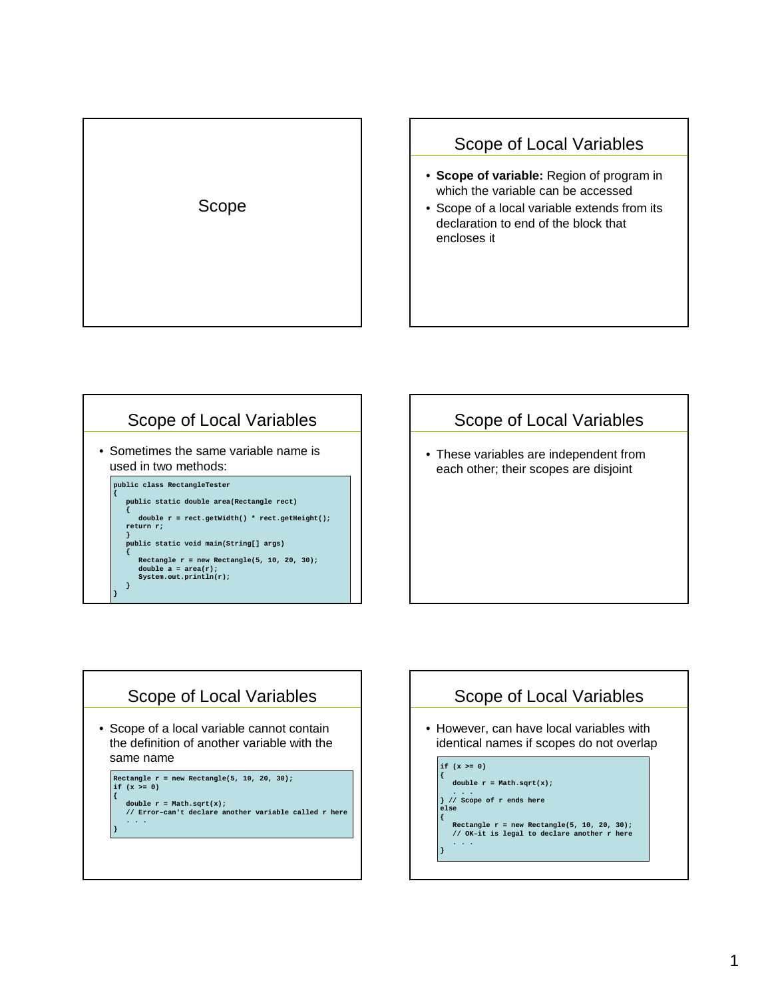

#### Scope of Local Variables

- **Scope of variable:** Region of program in which the variable can be accessed
- Scope of a local variable extends from its declaration to end of the block that encloses it



# Scope of Local Variables

• These variables are independent from each other; their scopes are disjoint

# Scope of Local Variables

• Scope of a local variable cannot contain the definition of another variable with the same name

**{**

**Rectangle r = new Rectangle(5, 10, 20, 30);**  $if (x > = 0)$ **double r = Math.sqrt(x); // Error–can't declare another variable called r here . . . }** 

# Scope of Local Variables

• However, can have local variables with identical names if scopes do not overlap

**if (x >= 0) { double r = Math.sqrt(x); . . . } // Scope of r ends here else { Rectangle r = new Rectangle(5, 10, 20, 30); // OK–it is legal to declare another r here . . . }**